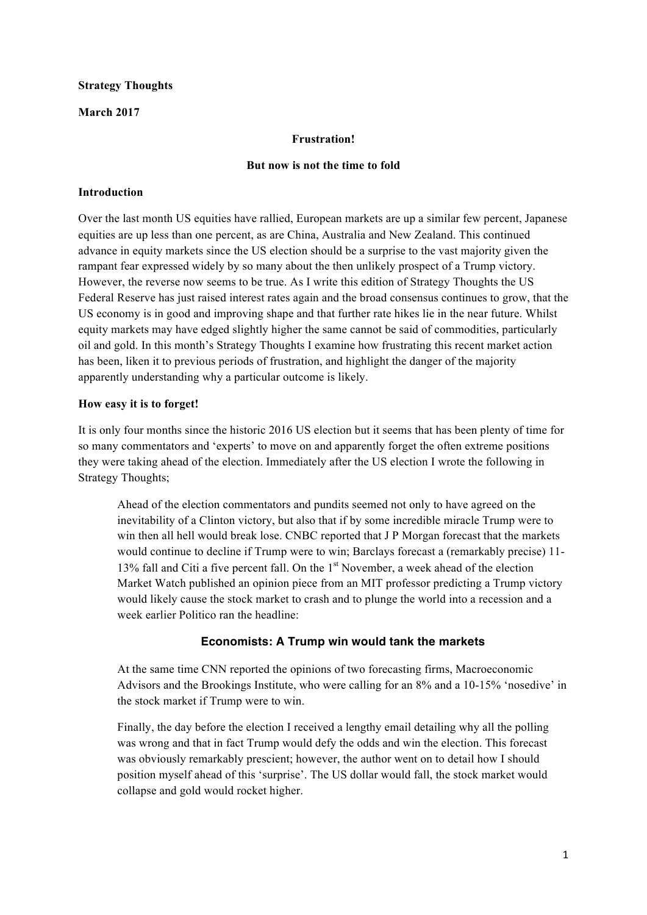## **Strategy Thoughts**

## **March 2017**

## **Frustration!**

#### **But now is not the time to fold**

#### **Introduction**

Over the last month US equities have rallied, European markets are up a similar few percent, Japanese equities are up less than one percent, as are China, Australia and New Zealand. This continued advance in equity markets since the US election should be a surprise to the vast majority given the rampant fear expressed widely by so many about the then unlikely prospect of a Trump victory. However, the reverse now seems to be true. As I write this edition of Strategy Thoughts the US Federal Reserve has just raised interest rates again and the broad consensus continues to grow, that the US economy is in good and improving shape and that further rate hikes lie in the near future. Whilst equity markets may have edged slightly higher the same cannot be said of commodities, particularly oil and gold. In this month's Strategy Thoughts I examine how frustrating this recent market action has been, liken it to previous periods of frustration, and highlight the danger of the majority apparently understanding why a particular outcome is likely.

## **How easy it is to forget!**

It is only four months since the historic 2016 US election but it seems that has been plenty of time for so many commentators and 'experts' to move on and apparently forget the often extreme positions they were taking ahead of the election. Immediately after the US election I wrote the following in Strategy Thoughts;

Ahead of the election commentators and pundits seemed not only to have agreed on the inevitability of a Clinton victory, but also that if by some incredible miracle Trump were to win then all hell would break lose. CNBC reported that J P Morgan forecast that the markets would continue to decline if Trump were to win; Barclays forecast a (remarkably precise) 11- 13% fall and Citi a five percent fall. On the 1<sup>st</sup> November, a week ahead of the election Market Watch published an opinion piece from an MIT professor predicting a Trump victory would likely cause the stock market to crash and to plunge the world into a recession and a week earlier Politico ran the headline:

## **Economists: A Trump win would tank the markets**

At the same time CNN reported the opinions of two forecasting firms, Macroeconomic Advisors and the Brookings Institute, who were calling for an 8% and a 10-15% 'nosedive' in the stock market if Trump were to win.

Finally, the day before the election I received a lengthy email detailing why all the polling was wrong and that in fact Trump would defy the odds and win the election. This forecast was obviously remarkably prescient; however, the author went on to detail how I should position myself ahead of this 'surprise'. The US dollar would fall, the stock market would collapse and gold would rocket higher.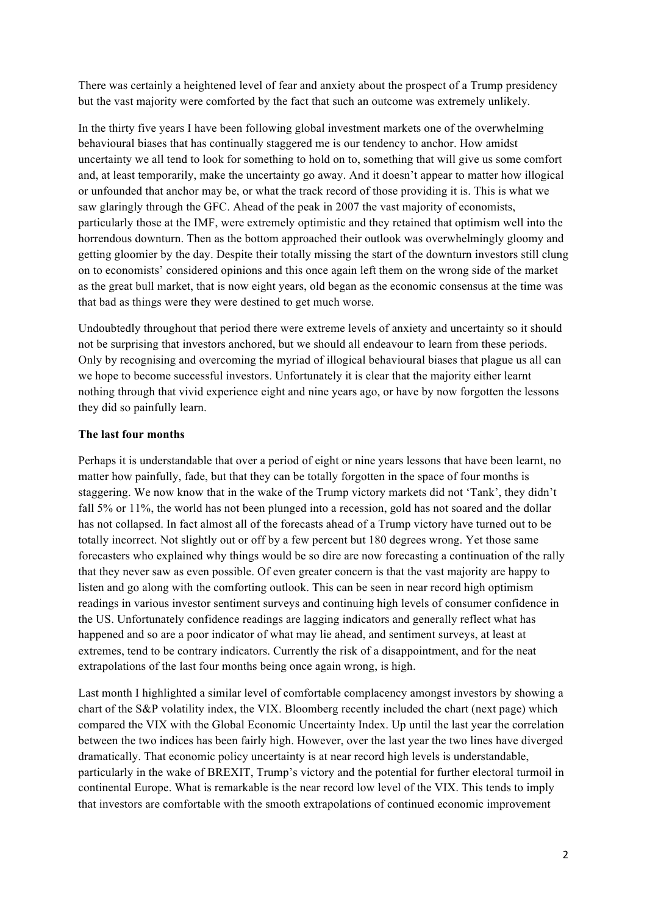There was certainly a heightened level of fear and anxiety about the prospect of a Trump presidency but the vast majority were comforted by the fact that such an outcome was extremely unlikely.

In the thirty five years I have been following global investment markets one of the overwhelming behavioural biases that has continually staggered me is our tendency to anchor. How amidst uncertainty we all tend to look for something to hold on to, something that will give us some comfort and, at least temporarily, make the uncertainty go away. And it doesn't appear to matter how illogical or unfounded that anchor may be, or what the track record of those providing it is. This is what we saw glaringly through the GFC. Ahead of the peak in 2007 the vast majority of economists, particularly those at the IMF, were extremely optimistic and they retained that optimism well into the horrendous downturn. Then as the bottom approached their outlook was overwhelmingly gloomy and getting gloomier by the day. Despite their totally missing the start of the downturn investors still clung on to economists' considered opinions and this once again left them on the wrong side of the market as the great bull market, that is now eight years, old began as the economic consensus at the time was that bad as things were they were destined to get much worse.

Undoubtedly throughout that period there were extreme levels of anxiety and uncertainty so it should not be surprising that investors anchored, but we should all endeavour to learn from these periods. Only by recognising and overcoming the myriad of illogical behavioural biases that plague us all can we hope to become successful investors. Unfortunately it is clear that the majority either learnt nothing through that vivid experience eight and nine years ago, or have by now forgotten the lessons they did so painfully learn.

#### **The last four months**

Perhaps it is understandable that over a period of eight or nine years lessons that have been learnt, no matter how painfully, fade, but that they can be totally forgotten in the space of four months is staggering. We now know that in the wake of the Trump victory markets did not 'Tank', they didn't fall 5% or 11%, the world has not been plunged into a recession, gold has not soared and the dollar has not collapsed. In fact almost all of the forecasts ahead of a Trump victory have turned out to be totally incorrect. Not slightly out or off by a few percent but 180 degrees wrong. Yet those same forecasters who explained why things would be so dire are now forecasting a continuation of the rally that they never saw as even possible. Of even greater concern is that the vast majority are happy to listen and go along with the comforting outlook. This can be seen in near record high optimism readings in various investor sentiment surveys and continuing high levels of consumer confidence in the US. Unfortunately confidence readings are lagging indicators and generally reflect what has happened and so are a poor indicator of what may lie ahead, and sentiment surveys, at least at extremes, tend to be contrary indicators. Currently the risk of a disappointment, and for the neat extrapolations of the last four months being once again wrong, is high.

Last month I highlighted a similar level of comfortable complacency amongst investors by showing a chart of the S&P volatility index, the VIX. Bloomberg recently included the chart (next page) which compared the VIX with the Global Economic Uncertainty Index. Up until the last year the correlation between the two indices has been fairly high. However, over the last year the two lines have diverged dramatically. That economic policy uncertainty is at near record high levels is understandable, particularly in the wake of BREXIT, Trump's victory and the potential for further electoral turmoil in continental Europe. What is remarkable is the near record low level of the VIX. This tends to imply that investors are comfortable with the smooth extrapolations of continued economic improvement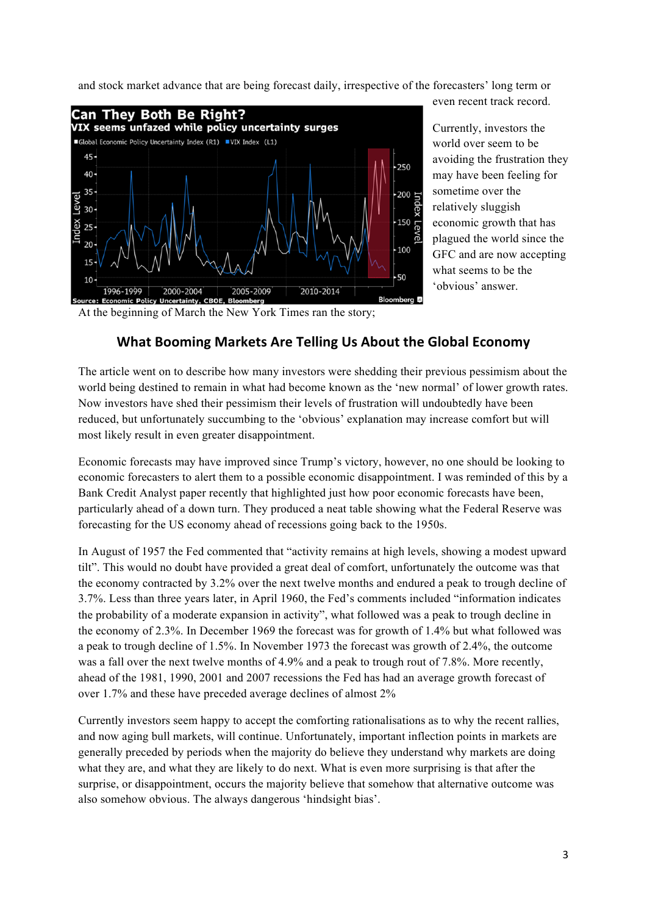and stock market advance that are being forecast daily, irrespective of the forecasters' long term or



Currently, investors the world over seem to be avoiding the frustration they may have been feeling for sometime over the relatively sluggish economic growth that has plagued the world since the GFC and are now accepting what seems to be the 'obvious' answer.

even recent track record.

At the beginning of March the New York Times ran the story;

# **What Booming Markets Are Telling Us About the Global Economy**

The article went on to describe how many investors were shedding their previous pessimism about the world being destined to remain in what had become known as the 'new normal' of lower growth rates. Now investors have shed their pessimism their levels of frustration will undoubtedly have been reduced, but unfortunately succumbing to the 'obvious' explanation may increase comfort but will most likely result in even greater disappointment.

Economic forecasts may have improved since Trump's victory, however, no one should be looking to economic forecasters to alert them to a possible economic disappointment. I was reminded of this by a Bank Credit Analyst paper recently that highlighted just how poor economic forecasts have been, particularly ahead of a down turn. They produced a neat table showing what the Federal Reserve was forecasting for the US economy ahead of recessions going back to the 1950s.

In August of 1957 the Fed commented that "activity remains at high levels, showing a modest upward tilt". This would no doubt have provided a great deal of comfort, unfortunately the outcome was that the economy contracted by 3.2% over the next twelve months and endured a peak to trough decline of 3.7%. Less than three years later, in April 1960, the Fed's comments included "information indicates the probability of a moderate expansion in activity", what followed was a peak to trough decline in the economy of 2.3%. In December 1969 the forecast was for growth of 1.4% but what followed was a peak to trough decline of 1.5%. In November 1973 the forecast was growth of 2.4%, the outcome was a fall over the next twelve months of 4.9% and a peak to trough rout of 7.8%. More recently, ahead of the 1981, 1990, 2001 and 2007 recessions the Fed has had an average growth forecast of over 1.7% and these have preceded average declines of almost 2%

Currently investors seem happy to accept the comforting rationalisations as to why the recent rallies, and now aging bull markets, will continue. Unfortunately, important inflection points in markets are generally preceded by periods when the majority do believe they understand why markets are doing what they are, and what they are likely to do next. What is even more surprising is that after the surprise, or disappointment, occurs the majority believe that somehow that alternative outcome was also somehow obvious. The always dangerous 'hindsight bias'.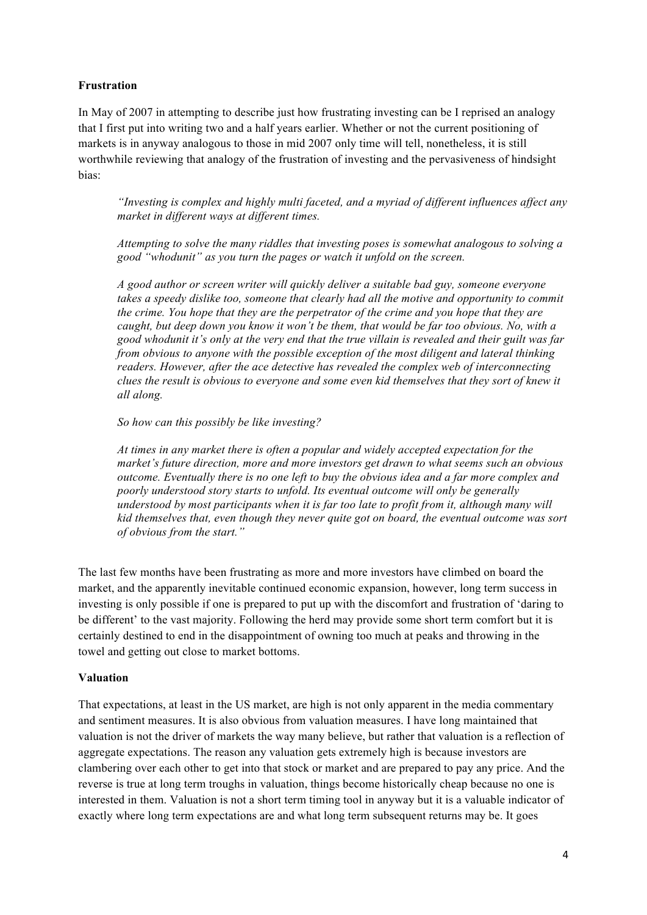## **Frustration**

In May of 2007 in attempting to describe just how frustrating investing can be I reprised an analogy that I first put into writing two and a half years earlier. Whether or not the current positioning of markets is in anyway analogous to those in mid 2007 only time will tell, nonetheless, it is still worthwhile reviewing that analogy of the frustration of investing and the pervasiveness of hindsight bias:

*"Investing is complex and highly multi faceted, and a myriad of different influences affect any market in different ways at different times.*

*Attempting to solve the many riddles that investing poses is somewhat analogous to solving a good "whodunit" as you turn the pages or watch it unfold on the screen.* 

*A good author or screen writer will quickly deliver a suitable bad guy, someone everyone*  takes a speedy dislike too, someone that clearly had all the motive and opportunity to commit *the crime. You hope that they are the perpetrator of the crime and you hope that they are caught, but deep down you know it won't be them, that would be far too obvious. No, with a good whodunit it's only at the very end that the true villain is revealed and their guilt was far from obvious to anyone with the possible exception of the most diligent and lateral thinking readers. However, after the ace detective has revealed the complex web of interconnecting clues the result is obvious to everyone and some even kid themselves that they sort of knew it all along.*

*So how can this possibly be like investing?*

*At times in any market there is often a popular and widely accepted expectation for the market's future direction, more and more investors get drawn to what seems such an obvious outcome. Eventually there is no one left to buy the obvious idea and a far more complex and poorly understood story starts to unfold. Its eventual outcome will only be generally understood by most participants when it is far too late to profit from it, although many will kid themselves that, even though they never quite got on board, the eventual outcome was sort of obvious from the start."*

The last few months have been frustrating as more and more investors have climbed on board the market, and the apparently inevitable continued economic expansion, however, long term success in investing is only possible if one is prepared to put up with the discomfort and frustration of 'daring to be different' to the vast majority. Following the herd may provide some short term comfort but it is certainly destined to end in the disappointment of owning too much at peaks and throwing in the towel and getting out close to market bottoms.

#### **Valuation**

That expectations, at least in the US market, are high is not only apparent in the media commentary and sentiment measures. It is also obvious from valuation measures. I have long maintained that valuation is not the driver of markets the way many believe, but rather that valuation is a reflection of aggregate expectations. The reason any valuation gets extremely high is because investors are clambering over each other to get into that stock or market and are prepared to pay any price. And the reverse is true at long term troughs in valuation, things become historically cheap because no one is interested in them. Valuation is not a short term timing tool in anyway but it is a valuable indicator of exactly where long term expectations are and what long term subsequent returns may be. It goes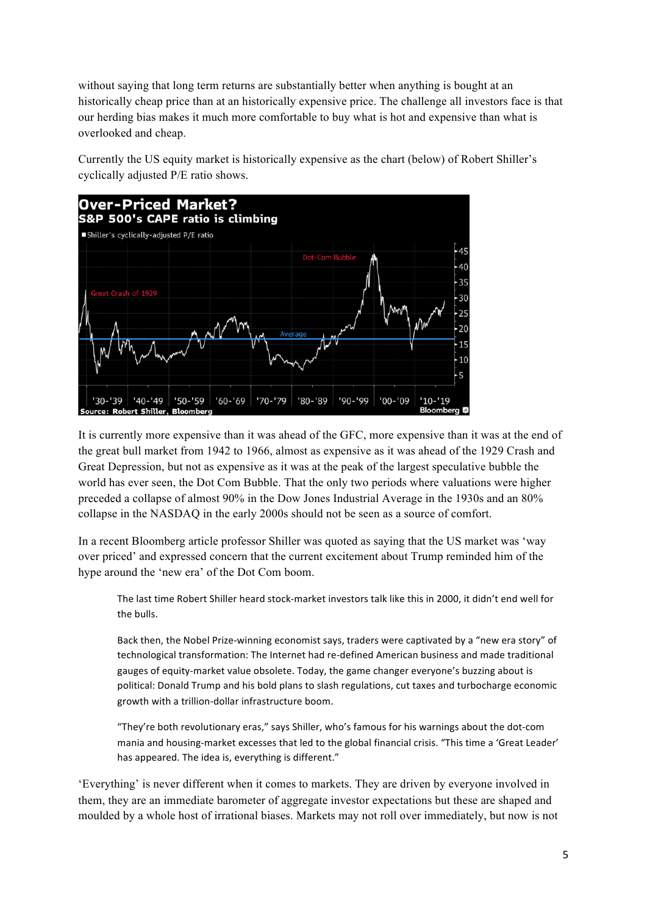without saying that long term returns are substantially better when anything is bought at an historically cheap price than at an historically expensive price. The challenge all investors face is that our herding bias makes it much more comfortable to buy what is hot and expensive than what is overlooked and cheap.

Currently the US equity market is historically expensive as the chart (below) of Robert Shiller's cyclically adjusted P/E ratio shows.



It is currently more expensive than it was ahead of the GFC, more expensive than it was at the end of the great bull market from 1942 to 1966, almost as expensive as it was ahead of the 1929 Crash and Great Depression, but not as expensive as it was at the peak of the largest speculative bubble the world has ever seen, the Dot Com Bubble. That the only two periods where valuations were higher preceded a collapse of almost 90% in the Dow Jones Industrial Average in the 1930s and an 80% collapse in the NASDAQ in the early 2000s should not be seen as a source of comfort.

In a recent Bloomberg article professor Shiller was quoted as saying that the US market was 'way over priced' and expressed concern that the current excitement about Trump reminded him of the hype around the 'new era' of the Dot Com boom.

The last time Robert Shiller heard stock-market investors talk like this in 2000, it didn't end well for the bulls.

Back then, the Nobel Prize-winning economist says, traders were captivated by a "new era story" of technological transformation: The Internet had re-defined American business and made traditional gauges of equity-market value obsolete. Today, the game changer everyone's buzzing about is political: Donald Trump and his bold plans to slash regulations, cut taxes and turbocharge economic growth with a trillion-dollar infrastructure boom.

"They're both revolutionary eras," says Shiller, who's famous for his warnings about the dot-com mania and housing-market excesses that led to the global financial crisis. "This time a 'Great Leader' has appeared. The idea is, everything is different."

'Everything' is never different when it comes to markets. They are driven by everyone involved in them, they are an immediate barometer of aggregate investor expectations but these are shaped and moulded by a whole host of irrational biases. Markets may not roll over immediately, but now is not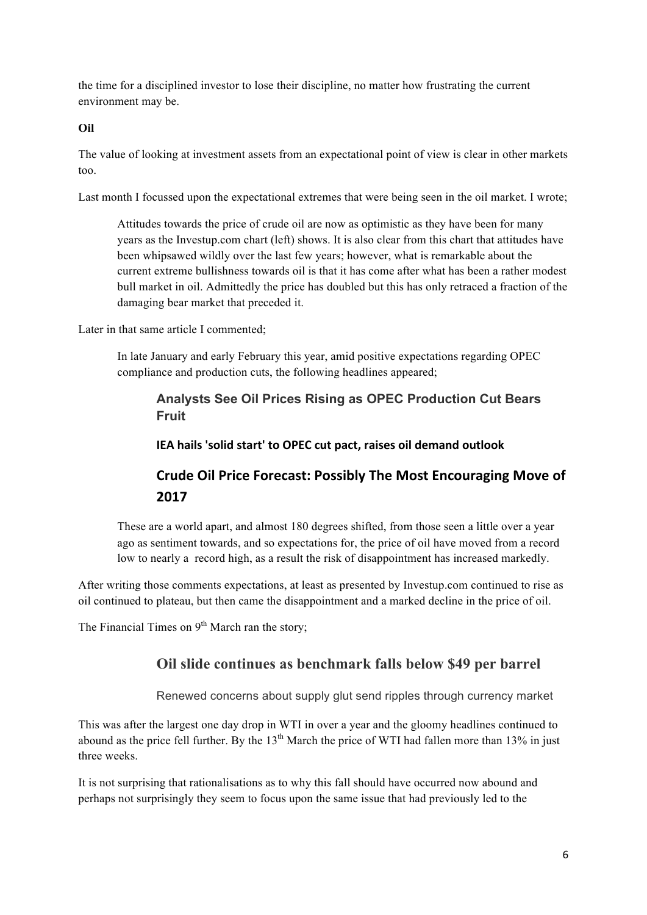the time for a disciplined investor to lose their discipline, no matter how frustrating the current environment may be.

#### **Oil**

The value of looking at investment assets from an expectational point of view is clear in other markets too.

Last month I focussed upon the expectational extremes that were being seen in the oil market. I wrote;

Attitudes towards the price of crude oil are now as optimistic as they have been for many years as the Investup.com chart (left) shows. It is also clear from this chart that attitudes have been whipsawed wildly over the last few years; however, what is remarkable about the current extreme bullishness towards oil is that it has come after what has been a rather modest bull market in oil. Admittedly the price has doubled but this has only retraced a fraction of the damaging bear market that preceded it.

Later in that same article I commented:

In late January and early February this year, amid positive expectations regarding OPEC compliance and production cuts, the following headlines appeared;

# **Analysts See Oil Prices Rising as OPEC Production Cut Bears Fruit**

**IEA** hails 'solid start' to OPEC cut pact, raises oil demand outlook

# **Crude Oil Price Forecast: Possibly The Most Encouraging Move of 2017**

These are a world apart, and almost 180 degrees shifted, from those seen a little over a year ago as sentiment towards, and so expectations for, the price of oil have moved from a record low to nearly a record high, as a result the risk of disappointment has increased markedly.

After writing those comments expectations, at least as presented by Investup.com continued to rise as oil continued to plateau, but then came the disappointment and a marked decline in the price of oil.

The Financial Times on  $9<sup>th</sup>$  March ran the story;

# **Oil slide continues as benchmark falls below \$49 per barrel**

Renewed concerns about supply glut send ripples through currency market

This was after the largest one day drop in WTI in over a year and the gloomy headlines continued to abound as the price fell further. By the  $13<sup>th</sup>$  March the price of WTI had fallen more than  $13\%$  in just three weeks.

It is not surprising that rationalisations as to why this fall should have occurred now abound and perhaps not surprisingly they seem to focus upon the same issue that had previously led to the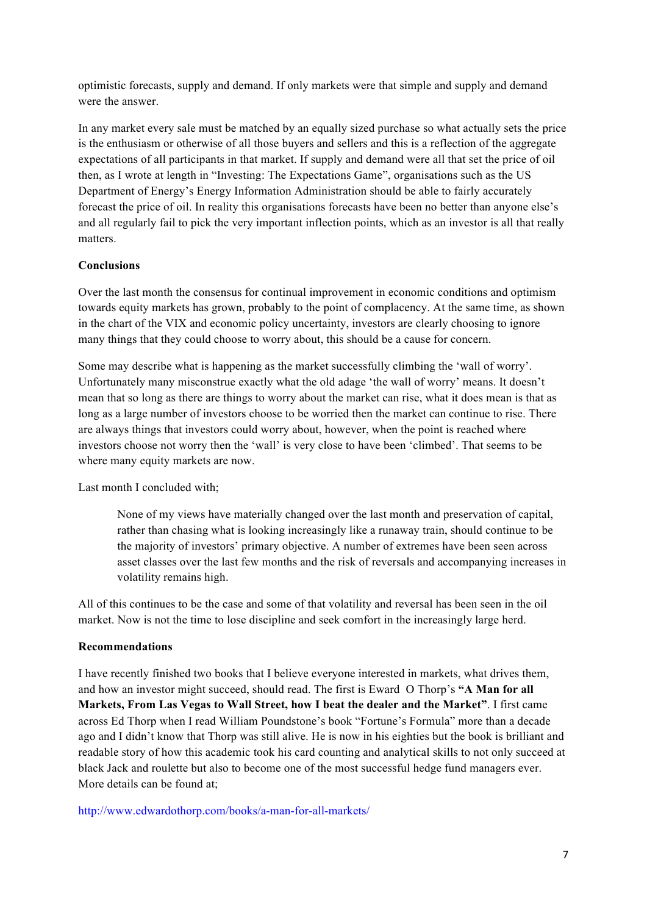optimistic forecasts, supply and demand. If only markets were that simple and supply and demand were the answer.

In any market every sale must be matched by an equally sized purchase so what actually sets the price is the enthusiasm or otherwise of all those buyers and sellers and this is a reflection of the aggregate expectations of all participants in that market. If supply and demand were all that set the price of oil then, as I wrote at length in "Investing: The Expectations Game", organisations such as the US Department of Energy's Energy Information Administration should be able to fairly accurately forecast the price of oil. In reality this organisations forecasts have been no better than anyone else's and all regularly fail to pick the very important inflection points, which as an investor is all that really matters.

## **Conclusions**

Over the last month the consensus for continual improvement in economic conditions and optimism towards equity markets has grown, probably to the point of complacency. At the same time, as shown in the chart of the VIX and economic policy uncertainty, investors are clearly choosing to ignore many things that they could choose to worry about, this should be a cause for concern.

Some may describe what is happening as the market successfully climbing the 'wall of worry'. Unfortunately many misconstrue exactly what the old adage 'the wall of worry' means. It doesn't mean that so long as there are things to worry about the market can rise, what it does mean is that as long as a large number of investors choose to be worried then the market can continue to rise. There are always things that investors could worry about, however, when the point is reached where investors choose not worry then the 'wall' is very close to have been 'climbed'. That seems to be where many equity markets are now.

Last month I concluded with;

None of my views have materially changed over the last month and preservation of capital, rather than chasing what is looking increasingly like a runaway train, should continue to be the majority of investors' primary objective. A number of extremes have been seen across asset classes over the last few months and the risk of reversals and accompanying increases in volatility remains high.

All of this continues to be the case and some of that volatility and reversal has been seen in the oil market. Now is not the time to lose discipline and seek comfort in the increasingly large herd.

#### **Recommendations**

I have recently finished two books that I believe everyone interested in markets, what drives them, and how an investor might succeed, should read. The first is Eward O Thorp's **"A Man for all Markets, From Las Vegas to Wall Street, how I beat the dealer and the Market"**. I first came across Ed Thorp when I read William Poundstone's book "Fortune's Formula" more than a decade ago and I didn't know that Thorp was still alive. He is now in his eighties but the book is brilliant and readable story of how this academic took his card counting and analytical skills to not only succeed at black Jack and roulette but also to become one of the most successful hedge fund managers ever. More details can be found at:

http://www.edwardothorp.com/books/a-man-for-all-markets/